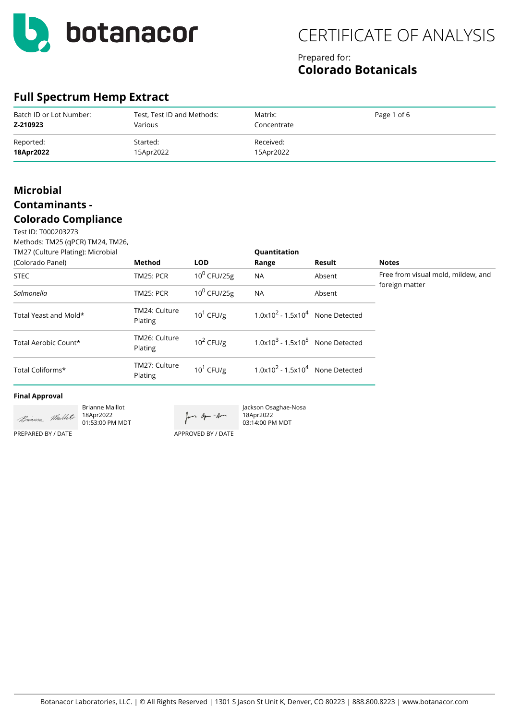

### Prepared for: **Colorado Botanicals**

## **Full Spectrum Hemp Extract**

| Batch ID or Lot Number: | Test, Test ID and Methods: | Matrix:     | Page 1 of 6 |
|-------------------------|----------------------------|-------------|-------------|
| Z-210923                | Various                    | Concentrate |             |
| Reported:               | Started:                   | Received:   |             |
| 18Apr2022               | 15Apr2022                  | 15Apr2022   |             |

## **Microbial Contaminants -**

### **Colorado Compliance**

Test ID: T000203273 Methods: TM25 (qPCR) TM24, TM26,

| TM27 (Culture Plating): Microbial |                          |                | Quantitation                        |        |                                                      |
|-----------------------------------|--------------------------|----------------|-------------------------------------|--------|------------------------------------------------------|
| (Colorado Panel)                  | Method                   | <b>LOD</b>     | Range                               | Result | <b>Notes</b>                                         |
| <b>STEC</b>                       | <b>TM25: PCR</b>         | $10^0$ CFU/25g | <b>NA</b>                           | Absent | Free from visual mold, mildew, and<br>foreign matter |
| Salmonella                        | <b>TM25: PCR</b>         | $10^0$ CFU/25g | <b>NA</b>                           | Absent |                                                      |
| Total Yeast and Mold*             | TM24: Culture<br>Plating | $10^1$ CFU/g   | $1.0x10^2 - 1.5x10^4$ None Detected |        |                                                      |
| Total Aerobic Count*              | TM26: Culture<br>Plating | $10^2$ CFU/g   | $1.0x103 - 1.5x105$ None Detected   |        |                                                      |
| Total Coliforms*                  | TM27: Culture<br>Plating | $10^1$ CFU/g   | $1.0x10^2 - 1.5x10^4$ None Detected |        |                                                      |

#### **Final Approval**

Brianne Maillot Buranne Maillet 18Apr2022 01:53:00 PM MDT

Jan apr - Am

Jackson Osaghae-Nosa 18Apr2022 03:14:00 PM MDT

APPROVED BY / DATE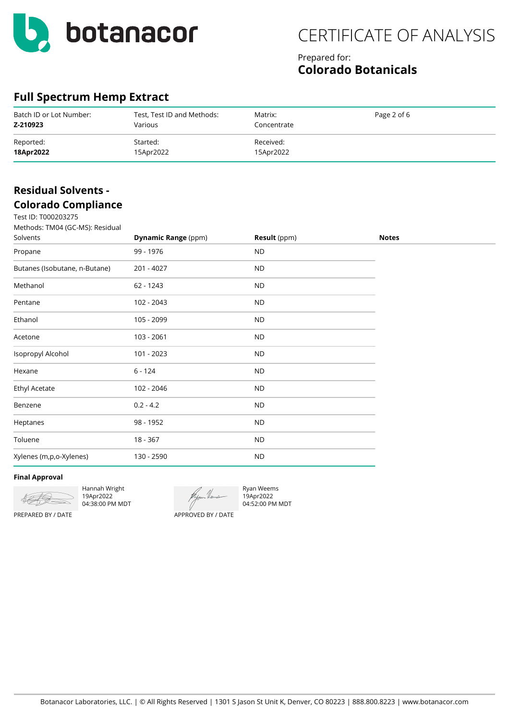

### Prepared for: **Colorado Botanicals**

## **Full Spectrum Hemp Extract**

| Batch ID or Lot Number: | Test, Test ID and Methods: | Matrix:     | Page 2 of 6 |
|-------------------------|----------------------------|-------------|-------------|
| Z-210923                | Various                    | Concentrate |             |
| Reported:               | Started:                   | Received:   |             |
| 18Apr2022               | 15Apr2022                  | 15Apr2022   |             |

## **Residual Solvents - Colorado Compliance**

| Test ID: T000203275                         |                            |              |              |
|---------------------------------------------|----------------------------|--------------|--------------|
| Methods: TM04 (GC-MS): Residual<br>Solvents | <b>Dynamic Range (ppm)</b> | Result (ppm) | <b>Notes</b> |
| Propane                                     | 99 - 1976                  | <b>ND</b>    |              |
| Butanes (Isobutane, n-Butane)               | 201 - 4027                 | <b>ND</b>    |              |
| Methanol                                    | 62 - 1243                  | <b>ND</b>    |              |
| Pentane                                     | 102 - 2043                 | <b>ND</b>    |              |
| Ethanol                                     | 105 - 2099                 | <b>ND</b>    |              |
| Acetone                                     | 103 - 2061                 | <b>ND</b>    |              |
| Isopropyl Alcohol                           | 101 - 2023                 | <b>ND</b>    |              |
| Hexane                                      | $6 - 124$                  | <b>ND</b>    |              |
| Ethyl Acetate                               | 102 - 2046                 | <b>ND</b>    |              |
| Benzene                                     | $0.2 - 4.2$                | $\sf ND$     |              |
| Heptanes                                    | 98 - 1952                  | <b>ND</b>    |              |
| Toluene                                     | 18 - 367                   | ${\sf ND}$   |              |
| Xylenes (m,p,o-Xylenes)                     | 130 - 2590                 | <b>ND</b>    |              |

#### **Final Approval**



Hannah Wright 19Apr2022 04:38:00 PM MDT

Ryan Weems 19Apr2022 04:52:00 PM MDT

PREPARED BY / DATE

APPROVED BY / DATE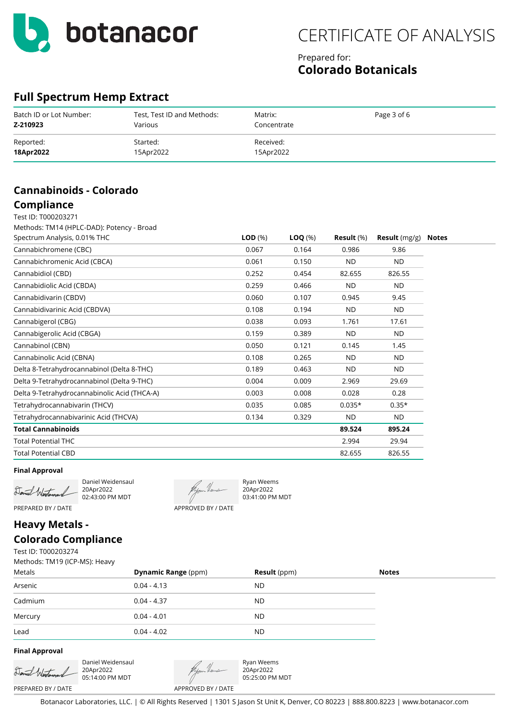

### Prepared for: **Colorado Botanicals**

## **Full Spectrum Hemp Extract**

| Batch ID or Lot Number: | Test, Test ID and Methods: | Matrix:     | Page 3 of 6 |
|-------------------------|----------------------------|-------------|-------------|
| Z-210923                | Various                    | Concentrate |             |
| Reported:               | Started:                   | Received:   |             |
| 18Apr2022               | 15Apr2022                  | 15Apr2022   |             |

## **Cannabinoids - Colorado**

### **Compliance**

Test ID: T000203271 Methods: TM14 (HPLC-DAD): Potency - Broad

| Spectrum Analysis, 0.01% THC                 | LOD(%) | $\textsf{LOQ}(\%)$ | Result $(\%)$ | <b>Result</b> $(mg/g)$ |
|----------------------------------------------|--------|--------------------|---------------|------------------------|
| Cannabichromene (CBC)                        | 0.067  | 0.164              | 0.986         | 9.86                   |
| Cannabichromenic Acid (CBCA)                 | 0.061  | 0.150              | ND.           | ND.                    |
| Cannabidiol (CBD)                            | 0.252  | 0.454              | 82.655        | 826.55                 |
| Cannabidiolic Acid (CBDA)                    | 0.259  | 0.466              | ND.           | ND.                    |
| Cannabidivarin (CBDV)                        | 0.060  | 0.107              | 0.945         | 9.45                   |
| Cannabidivarinic Acid (CBDVA)                | 0.108  | 0.194              | ND.           | <b>ND</b>              |
| Cannabigerol (CBG)                           | 0.038  | 0.093              | 1.761         | 17.61                  |
| Cannabigerolic Acid (CBGA)                   | 0.159  | 0.389              | ND.           | ND.                    |
| Cannabinol (CBN)                             | 0.050  | 0.121              | 0.145         | 1.45                   |
| Cannabinolic Acid (CBNA)                     | 0.108  | 0.265              | ND.           | ND.                    |
| Delta 8-Tetrahydrocannabinol (Delta 8-THC)   | 0.189  | 0.463              | ND.           | ND.                    |
| Delta 9-Tetrahydrocannabinol (Delta 9-THC)   | 0.004  | 0.009              | 2.969         | 29.69                  |
| Delta 9-Tetrahydrocannabinolic Acid (THCA-A) | 0.003  | 0.008              | 0.028         | 0.28                   |
| Tetrahydrocannabivarin (THCV)                | 0.035  | 0.085              | $0.035*$      | $0.35*$                |
| Tetrahydrocannabivarinic Acid (THCVA)        | 0.134  | 0.329              | ND.           | ND.                    |
| <b>Total Cannabinoids</b>                    |        |                    | 89.524        | 895.24                 |
| <b>Total Potential THC</b>                   |        |                    | 2.994         | 29.94                  |
| <b>Total Potential CBD</b>                   |        |                    | 82.655        | 826.55                 |

#### **Final Approval**

Daniel Westerand

Daniel Weidensaul 20Apr2022 02:43:00 PM MDT

APPROVED BY / DATE

Ryan Weems 20Apr2022 03:41:00 PM MDT

## PREPARED BY / DATE

## **Heavy Metals - Colorado Compliance**

Test ID: T000203274

Methods: TM19 (ICP-MS): Heavy

| Metals  | <b>Dynamic Range (ppm)</b> | <b>Result</b> (ppm) | <b>Notes</b> |
|---------|----------------------------|---------------------|--------------|
| Arsenic | $0.04 - 4.13$              | <b>ND</b>           |              |
| Cadmium | $0.04 - 4.37$              | <b>ND</b>           |              |
| Mercury | $0.04 - 4.01$              | <b>ND</b>           |              |
| Lead    | $0.04 - 4.02$              | <b>ND</b>           |              |

#### **Final Approval**

Danuel Wi

PREPARED BY / DATE

Daniel Weidensaul 20Apr2022 05:14:00 PM MDT

APPROVED BY / DATE

Ryan Weems 20Apr2022 05:25:00 PM MDT

Botanacor Laboratories, LLC. | © All Rights Reserved | 1301 S Jason St Unit K, Denver, CO 80223 | 888.800.8223 | www.botanacor.com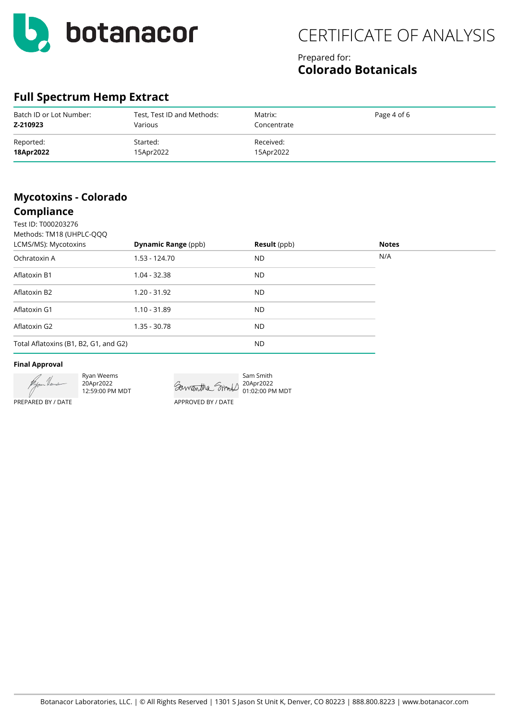

## Prepared for: **Colorado Botanicals**

## **Full Spectrum Hemp Extract**

| Batch ID or Lot Number: | Test, Test ID and Methods: | Matrix:     | Page 4 of 6 |
|-------------------------|----------------------------|-------------|-------------|
| Z-210923                | Various                    | Concentrate |             |
| Reported:               | Started:                   | Received:   |             |
| 18Apr2022               | 15Apr2022                  | 15Apr2022   |             |

## **Mycotoxins - Colorado**

## **Compliance**

| Test ID: T000203276<br>Methods: TM18 (UHPLC-QQQ |                            |                     |              |  |
|-------------------------------------------------|----------------------------|---------------------|--------------|--|
| LCMS/MS): Mycotoxins                            | <b>Dynamic Range (ppb)</b> | <b>Result</b> (ppb) | <b>Notes</b> |  |
| Ochratoxin A                                    | 1.53 - 124.70              | <b>ND</b>           | N/A          |  |
| Aflatoxin B1                                    | $1.04 - 32.38$             | <b>ND</b>           |              |  |
| Aflatoxin B2                                    | $1.20 - 31.92$             | <b>ND</b>           |              |  |
| Aflatoxin G1                                    | $1.10 - 31.89$             | <b>ND</b>           |              |  |
| Aflatoxin G2                                    | $1.35 - 30.78$             | <b>ND</b>           |              |  |
| Total Aflatoxins (B1, B2, G1, and G2)           |                            | ND.                 |              |  |
|                                                 |                            |                     |              |  |

#### **Final Approval**



Ryan Weems 20Apr2022 12:59:00 PM MDT

Sam Smith 20Apr2022 01:02:00 PM MDT APPROVED BY / DATE

PREPARED BY / DATE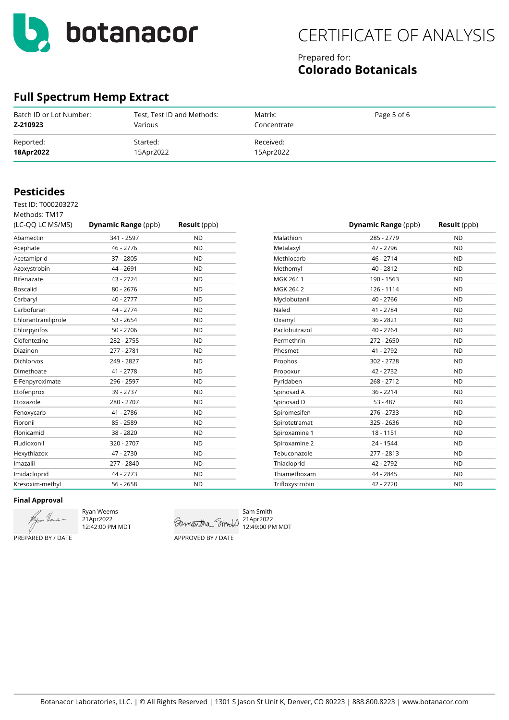

### Prepared for: **Colorado Botanicals**

## **Full Spectrum Hemp Extract**

| Batch ID or Lot Number: | Test, Test ID and Methods: | Matrix:     | Page 5 of 6 |
|-------------------------|----------------------------|-------------|-------------|
| Z-210923                | Various                    | Concentrate |             |
| Reported:               | Started:                   | Received:   |             |
| 18Apr2022               | 15Apr2022                  | 15Apr2022   |             |

### **Pesticides**

Methods: TM17

Test ID: T000203272

| (LC-QQ LC MS/MS)    | <b>Dynamic Range (ppb)</b> | <b>Result</b> (ppb) |                 | <b>Dynamic Range (ppb)</b> | <b>Result</b> (ppb) |
|---------------------|----------------------------|---------------------|-----------------|----------------------------|---------------------|
| Abamectin           | 341 - 2597                 | <b>ND</b>           | Malathion       | 285 - 2779                 | <b>ND</b>           |
| Acephate            | 46 - 2776                  | <b>ND</b>           | Metalaxyl       | 47 - 2796                  | <b>ND</b>           |
| Acetamiprid         | 37 - 2805                  | <b>ND</b>           | Methiocarb      | $46 - 2714$                | <b>ND</b>           |
| Azoxystrobin        | 44 - 2691                  | <b>ND</b>           | Methomyl        | $40 - 2812$                | <b>ND</b>           |
| Bifenazate          | 43 - 2724                  | <b>ND</b>           | MGK 264 1       | 190 - 1563                 | <b>ND</b>           |
| <b>Boscalid</b>     | $80 - 2676$                | <b>ND</b>           | MGK 264 2       | 126 - 1114                 | <b>ND</b>           |
| Carbaryl            | $40 - 2777$                | <b>ND</b>           | Myclobutanil    | $40 - 2766$                | <b>ND</b>           |
| Carbofuran          | 44 - 2774                  | <b>ND</b>           | Naled           | 41 - 2784                  | <b>ND</b>           |
| Chlorantraniliprole | $53 - 2654$                | <b>ND</b>           | Oxamyl          | 36 - 2821                  | <b>ND</b>           |
| Chlorpyrifos        | $50 - 2706$                | <b>ND</b>           | Paclobutrazol   | 40 - 2764                  | <b>ND</b>           |
| Clofentezine        | 282 - 2755                 | <b>ND</b>           | Permethrin      | 272 - 2650                 | <b>ND</b>           |
| Diazinon            | 277 - 2781                 | <b>ND</b>           | Phosmet         | $41 - 2792$                | <b>ND</b>           |
| <b>Dichlorvos</b>   | 249 - 2827                 | <b>ND</b>           | Prophos         | 302 - 2728                 | <b>ND</b>           |
| Dimethoate          | 41 - 2778                  | <b>ND</b>           | Propoxur        | 42 - 2732                  | <b>ND</b>           |
| E-Fenpyroximate     | 296 - 2597                 | <b>ND</b>           | Pyridaben       | 268 - 2712                 | <b>ND</b>           |
| Etofenprox          | 39 - 2737                  | <b>ND</b>           | Spinosad A      | $36 - 2214$                | <b>ND</b>           |
| Etoxazole           | 280 - 2707                 | <b>ND</b>           | Spinosad D      | $53 - 487$                 | <b>ND</b>           |
| Fenoxycarb          | 41 - 2786                  | <b>ND</b>           | Spiromesifen    | 276 - 2733                 | <b>ND</b>           |
| Fipronil            | 85 - 2589                  | <b>ND</b>           | Spirotetramat   | 325 - 2636                 | <b>ND</b>           |
| Flonicamid          | 38 - 2820                  | <b>ND</b>           | Spiroxamine 1   | $18 - 1151$                | <b>ND</b>           |
| Fludioxonil         | 320 - 2707                 | <b>ND</b>           | Spiroxamine 2   | 24 - 1544                  | <b>ND</b>           |
| Hexythiazox         | 47 - 2730                  | <b>ND</b>           | Tebuconazole    | 277 - 2813                 | <b>ND</b>           |
| Imazalil            | 277 - 2840                 | <b>ND</b>           | Thiacloprid     | 42 - 2792                  | <b>ND</b>           |
| Imidacloprid        | 44 - 2773                  | <b>ND</b>           | Thiamethoxam    | 44 - 2845                  | <b>ND</b>           |
| Kresoxim-methyl     | $56 - 2658$                | <b>ND</b>           | Trifloxystrobin | 42 - 2720                  | <b>ND</b>           |

#### **Final Approval**

Ryan Weems 21Apr2022 12:42:00 PM MDT

Sam Smith Samantha Smold 21Apr2022

12:49:00 PM MDT

PREPARED BY / DATE

APPROVED BY / DATE